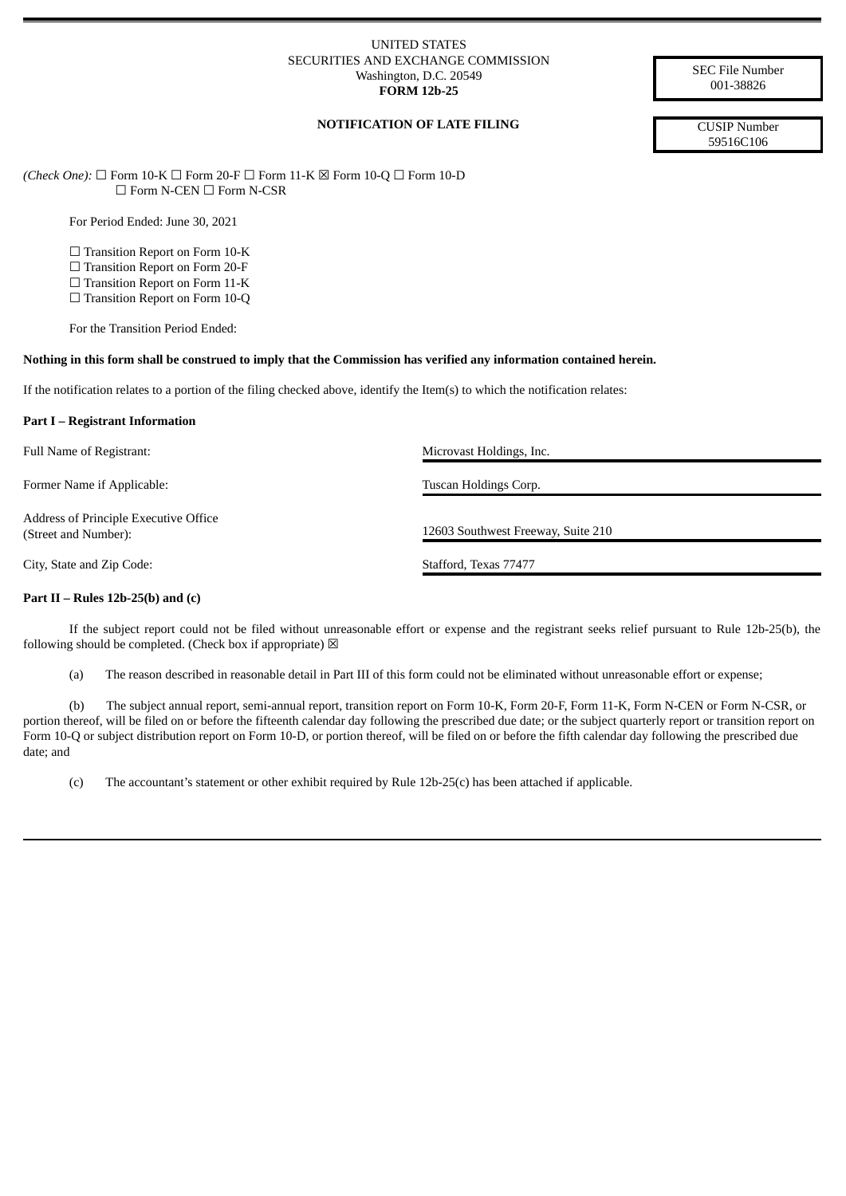#### UNITED STATES SECURITIES AND EXCHANGE COMMISSION Washington, D.C. 20549 **FORM 12b-25**

SEC File Number 001-38826

# **NOTIFICATION OF LATE FILING** CUSIP Number

59516C106

*(Check One):* ☐ Form 10-K ☐ Form 20-F ☐ Form 11-K ☒ Form 10-Q ☐ Form 10-D ☐ Form N-CEN ☐ Form N-CSR

For Period Ended: June 30, 2021

□ Transition Report on Form 10-K

□ Transition Report on Form 20-F

□ Transition Report on Form 11-K

□ Transition Report on Form 10-Q

For the Transition Period Ended:

#### Nothing in this form shall be construed to imply that the Commission has verified any information contained herein.

If the notification relates to a portion of the filing checked above, identify the Item(s) to which the notification relates:

#### **Part I – Registrant Information**

Full Name of Registrant:  $\blacksquare$  Microvast Holdings, Inc.

Former Name if Applicable: Tuscan Holdings Corp. Tuscan Holdings Corp.

Address of Principle Executive Office (Street and Number): 12603 Southwest Freeway, Suite 210

City, State and Zip Code: Stafford, Texas 77477

## **Part II – Rules 12b-25(b) and (c)**

If the subject report could not be filed without unreasonable effort or expense and the registrant seeks relief pursuant to Rule 12b-25(b), the following should be completed. (Check box if appropriate)  $\boxtimes$ 

(a) The reason described in reasonable detail in Part III of this form could not be eliminated without unreasonable effort or expense;

(b) The subject annual report, semi-annual report, transition report on Form 10-K, Form 20-F, Form 11-K, Form N-CEN or Form N-CSR, or portion thereof, will be filed on or before the fifteenth calendar day following the prescribed due date; or the subject quarterly report or transition report on Form 10-Q or subject distribution report on Form 10-D, or portion thereof, will be filed on or before the fifth calendar day following the prescribed due date; and

(c) The accountant's statement or other exhibit required by Rule 12b-25(c) has been attached if applicable.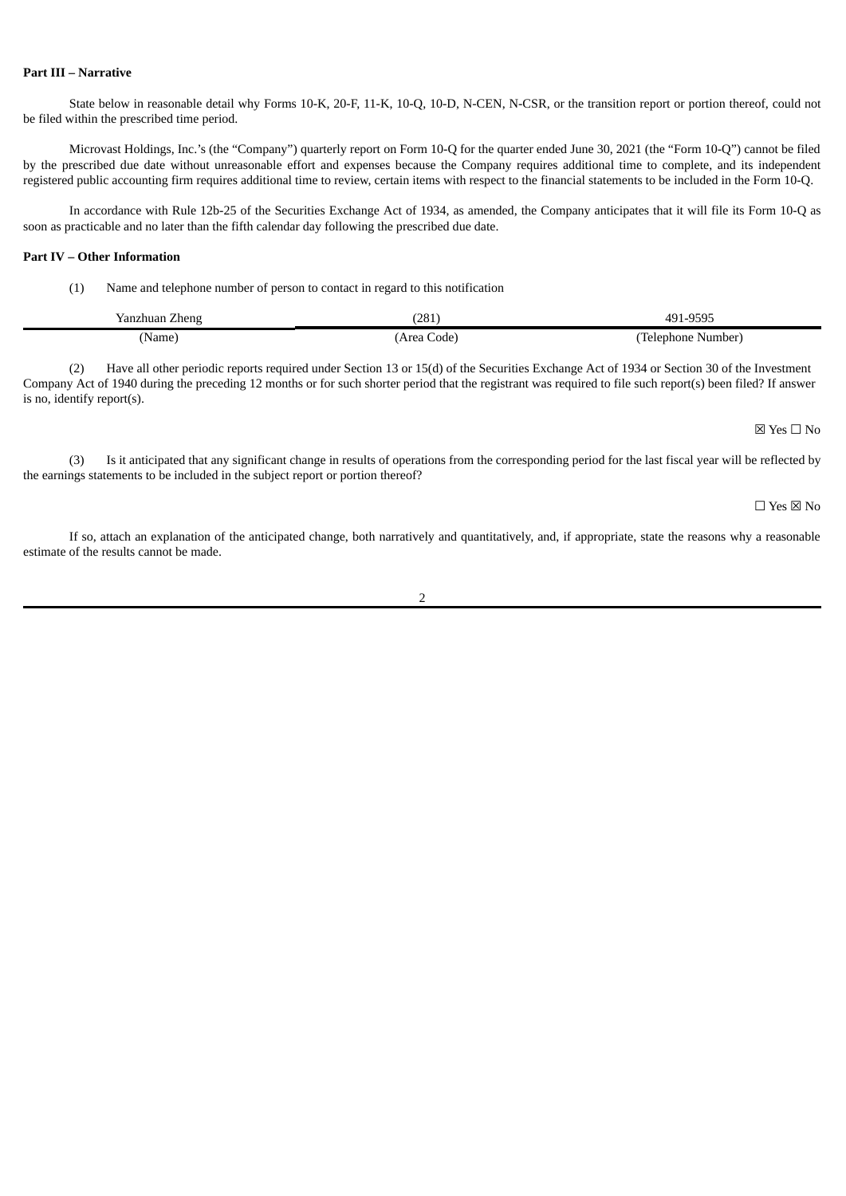## **Part III – Narrative**

State below in reasonable detail why Forms 10-K, 20-F, 11-K, 10-Q, 10-D, N-CEN, N-CSR, or the transition report or portion thereof, could not be filed within the prescribed time period.

Microvast Holdings, Inc.'s (the "Company") quarterly report on Form 10-Q for the quarter ended June 30, 2021 (the "Form 10-Q") cannot be filed by the prescribed due date without unreasonable effort and expenses because the Company requires additional time to complete, and its independent registered public accounting firm requires additional time to review, certain items with respect to the financial statements to be included in the Form 10-Q.

In accordance with Rule 12b-25 of the Securities Exchange Act of 1934, as amended, the Company anticipates that it will file its Form 10-Q as soon as practicable and no later than the fifth calendar day following the prescribed due date.

### **Part IV – Other Information**

(1) Name and telephone number of person to contact in regard to this notification

| Zheng<br>Yanzhuan | (281         | 0.05<br>49 <sup>4</sup><br>~u<br>. <i>.</i><br>,,,,<br>. |
|-------------------|--------------|----------------------------------------------------------|
| 'Name.            | Code<br>Area | Telephone<br>Number)                                     |

(2) Have all other periodic reports required under Section 13 or 15(d) of the Securities Exchange Act of 1934 or Section 30 of the Investment Company Act of 1940 during the preceding 12 months or for such shorter period that the registrant was required to file such report(s) been filed? If answer is no, identify report(s).

☒ Yes ☐ No

(3) Is it anticipated that any significant change in results of operations from the corresponding period for the last fiscal year will be reflected by the earnings statements to be included in the subject report or portion thereof?

☐ Yes ☒ No

If so, attach an explanation of the anticipated change, both narratively and quantitatively, and, if appropriate, state the reasons why a reasonable estimate of the results cannot be made.

2